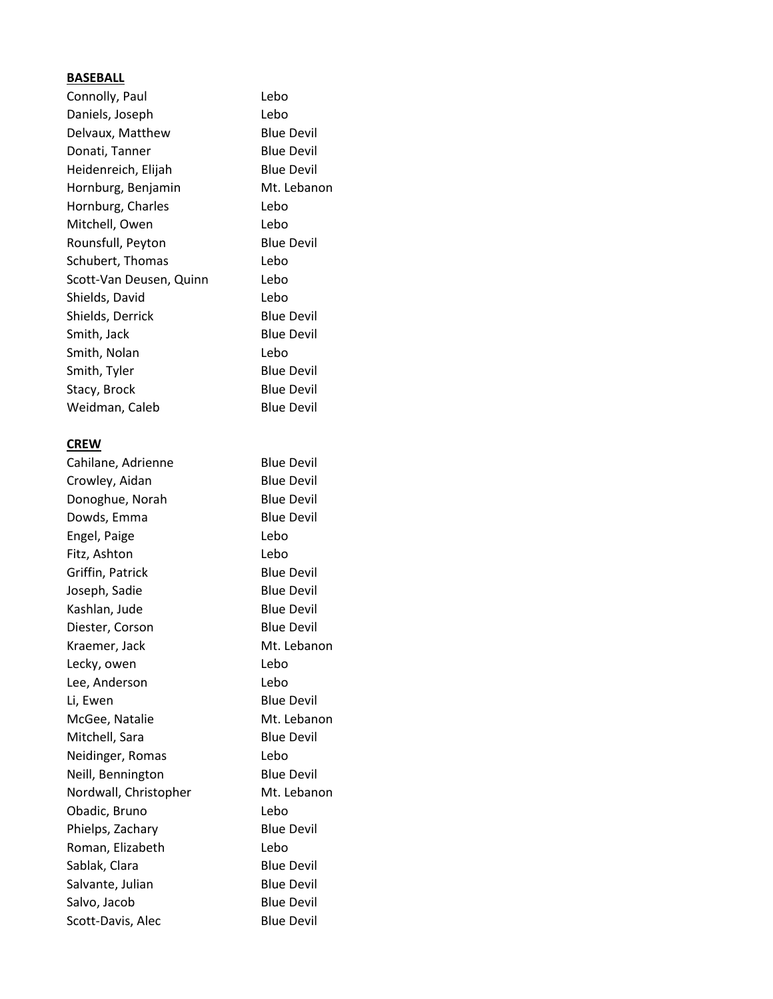## **BASEBALL**

| $\cdots$                |                   |
|-------------------------|-------------------|
| Connolly, Paul          | Lebo              |
| Daniels, Joseph         | Lebo              |
| Delvaux, Matthew        | <b>Blue Devil</b> |
| Donati, Tanner          | <b>Blue Devil</b> |
| Heidenreich, Elijah     | <b>Blue Devil</b> |
| Hornburg, Benjamin      | Mt. Lebanon       |
| Hornburg, Charles       | Lebo              |
| Mitchell, Owen          | Lebo              |
| Rounsfull, Peyton       | <b>Blue Devil</b> |
| Schubert, Thomas        | Lebo              |
| Scott-Van Deusen, Quinn | Lebo              |
| Shields, David          | Lebo              |
| Shields, Derrick        | <b>Blue Devil</b> |
| Smith, Jack             | <b>Blue Devil</b> |
| Smith, Nolan            | Lebo              |
| Smith, Tyler            | <b>Blue Devil</b> |
| Stacy, Brock            | <b>Blue Devil</b> |
| Weidman, Caleb          | <b>Blue Devil</b> |
|                         |                   |
| <b>CREW</b>             |                   |
| Cahilane, Adrienne      | <b>Blue Devil</b> |
| Crowley, Aidan          | <b>Blue Devil</b> |
| Donoghue, Norah         | <b>Blue Devil</b> |
| Dowds, Emma             | <b>Blue Devil</b> |
| Engel, Paige            | Lebo              |
| Fitz, Ashton            | Lebo              |
| Griffin, Patrick        | <b>Blue Devil</b> |
| Joseph, Sadie           | <b>Blue Devil</b> |
| Kashlan, Jude           | <b>Blue Devil</b> |
| Diester, Corson         | <b>Blue Devil</b> |
| Kraemer, Jack           | Mt. Lebanon       |
| Lecky, owen             | Lebo              |
| Lee, Anderson           | Lebo              |
| Li, Ewen                | <b>Blue Devil</b> |
| McGee, Natalie          | Mt. Lebanon       |
| Mitchell, Sara          | <b>Blue Devil</b> |
| Neidinger, Romas        | Lebo              |
| Neill, Bennington       | <b>Blue Devil</b> |
| Nordwall, Christopher   | Mt. Lebanon       |
| Obadic, Bruno           | Lebo              |
| Phielps, Zachary        | <b>Blue Devil</b> |
| Roman, Elizabeth        | Lebo              |
| Sablak, Clara           | <b>Blue Devil</b> |
| Salvante, Julian        | <b>Blue Devil</b> |
| Salvo, Jacob            | <b>Blue Devil</b> |

Scott-Davis, Alec Blue Devil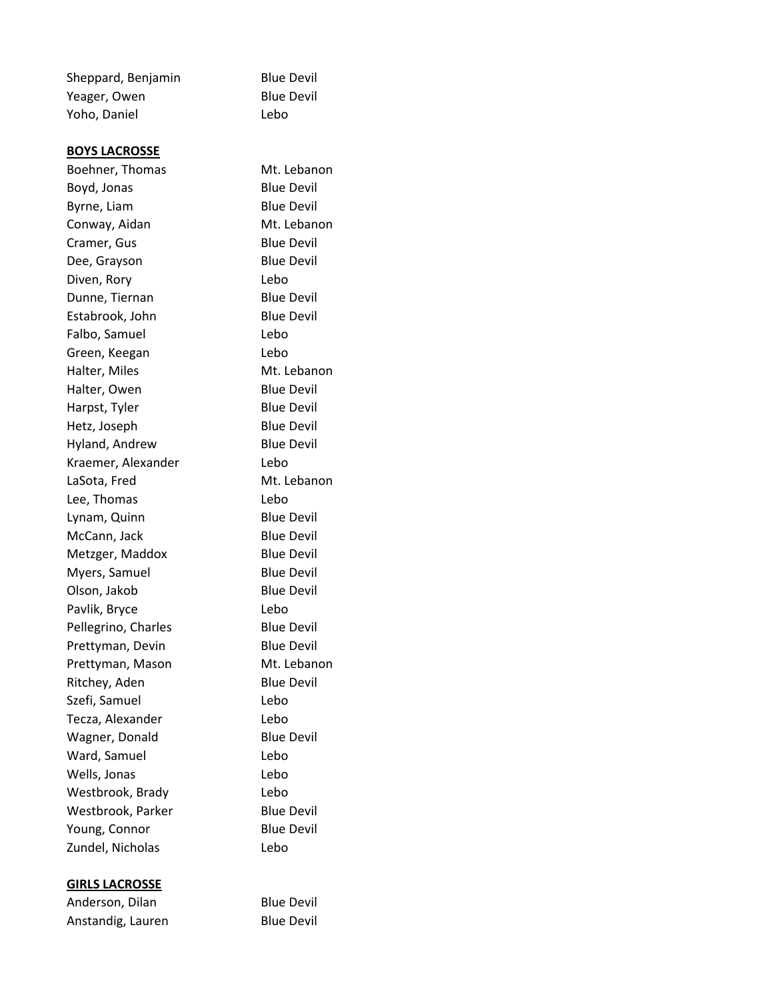| Sheppard, Benjamin    | <b>Blue Devil</b> |
|-----------------------|-------------------|
| Yeager, Owen          | <b>Blue Devil</b> |
| Yoho, Daniel          | Lebo              |
| <b>BOYS LACROSSE</b>  |                   |
| Boehner, Thomas       | Mt. Lebanon       |
| Boyd, Jonas           | <b>Blue Devil</b> |
| Byrne, Liam           | <b>Blue Devil</b> |
| Conway, Aidan         | Mt. Lebanon       |
| Cramer, Gus           | <b>Blue Devil</b> |
| Dee, Grayson          | <b>Blue Devil</b> |
| Diven, Rory           | Lebo              |
| Dunne, Tiernan        | <b>Blue Devil</b> |
| Estabrook, John       | <b>Blue Devil</b> |
| Falbo, Samuel         | Lebo              |
| Green, Keegan         | Lebo              |
| Halter, Miles         | Mt. Lebanon       |
| Halter, Owen          | <b>Blue Devil</b> |
| Harpst, Tyler         | <b>Blue Devil</b> |
| Hetz, Joseph          | <b>Blue Devil</b> |
| Hyland, Andrew        | <b>Blue Devil</b> |
| Kraemer, Alexander    | Lebo              |
| LaSota, Fred          | Mt. Lebanon       |
| Lee, Thomas           | Lebo              |
| Lynam, Quinn          | <b>Blue Devil</b> |
| McCann, Jack          | <b>Blue Devil</b> |
| Metzger, Maddox       | <b>Blue Devil</b> |
| Myers, Samuel         | <b>Blue Devil</b> |
| Olson, Jakob          | <b>Blue Devil</b> |
| Pavlik, Bryce         | Lebo              |
| Pellegrino, Charles   | <b>Blue Devil</b> |
| Prettyman, Devin      | <b>Blue Devil</b> |
| Prettyman, Mason      | Mt. Lebanon       |
| Ritchey, Aden         | <b>Blue Devil</b> |
| Szefi, Samuel         | Lebo              |
| Tecza, Alexander      | Lebo              |
| Wagner, Donald        | <b>Blue Devil</b> |
| Ward, Samuel          | Lebo              |
| Wells, Jonas          | Lebo              |
| Westbrook, Brady      | Lebo              |
| Westbrook, Parker     | <b>Blue Devil</b> |
| Young, Connor         | <b>Blue Devil</b> |
| Zundel, Nicholas      | Lebo              |
| <b>GIRLS LACROSSE</b> |                   |
| Anderson, Dilan       | <b>Blue Devil</b> |
|                       |                   |

Anstandig, Lauren Blue Devil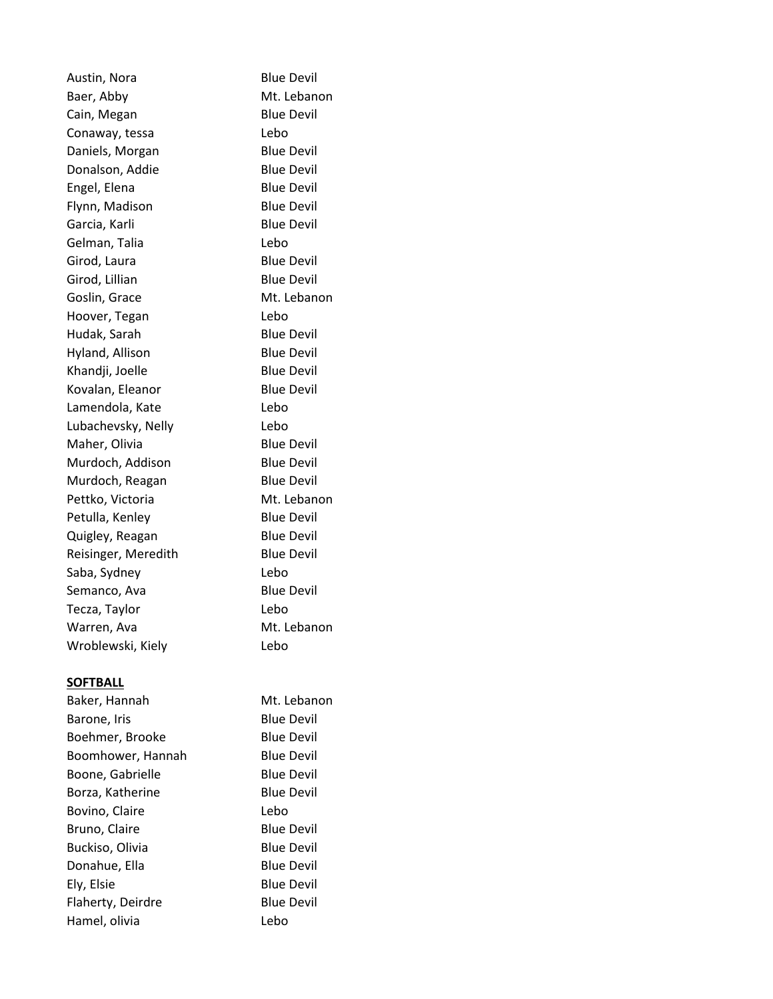Austin, Nora Blue Devil Baer, Abby Mt. Lebanon Cain, Megan Blue Devil Conaway, tessa Lebo Daniels, Morgan Blue Devil Donalson, Addie Blue Devil Engel, Elena Blue Devil Flynn, Madison Blue Devil Garcia, Karli **Blue Devil** Gelman, Talia Lebo Girod, Laura Blue Devil Girod, Lillian Blue Devil Goslin, Grace Mt. Lebanon Hoover, Tegan Lebo Hudak, Sarah Blue Devil Hyland, Allison Blue Devil Khandji, Joelle Blue Devil Kovalan, Eleanor Blue Devil Lamendola, Kate Lebo Lubachevsky, Nelly Lebo Maher, Olivia Blue Devil Murdoch, Addison Blue Devil Murdoch, Reagan Blue Devil Pettko, Victoria Mt. Lebanon Petulla, Kenley Blue Devil Quigley, Reagan Blue Devil Reisinger, Meredith Blue Devil Saba, Sydney Lebo Semanco, Ava Blue Devil Tecza, Taylor Lebo Warren, Ava Mt. Lebanon Wroblewski, Kiely Lebo

## **SOFTBALL**

Baker, Hannah Mt. Lebanon Barone, Iris **Blue Devil** Boehmer, Brooke Blue Devil Boomhower, Hannah Blue Devil Boone, Gabrielle Blue Devil Borza, Katherine Blue Devil Bovino, Claire **Lebo** Bruno, Claire **Blue Devil** Buckiso, Olivia Blue Devil Donahue, Ella Blue Devil Ely, Elsie Blue Devil Flaherty, Deirdre **Blue Devil** Hamel, olivia Lebo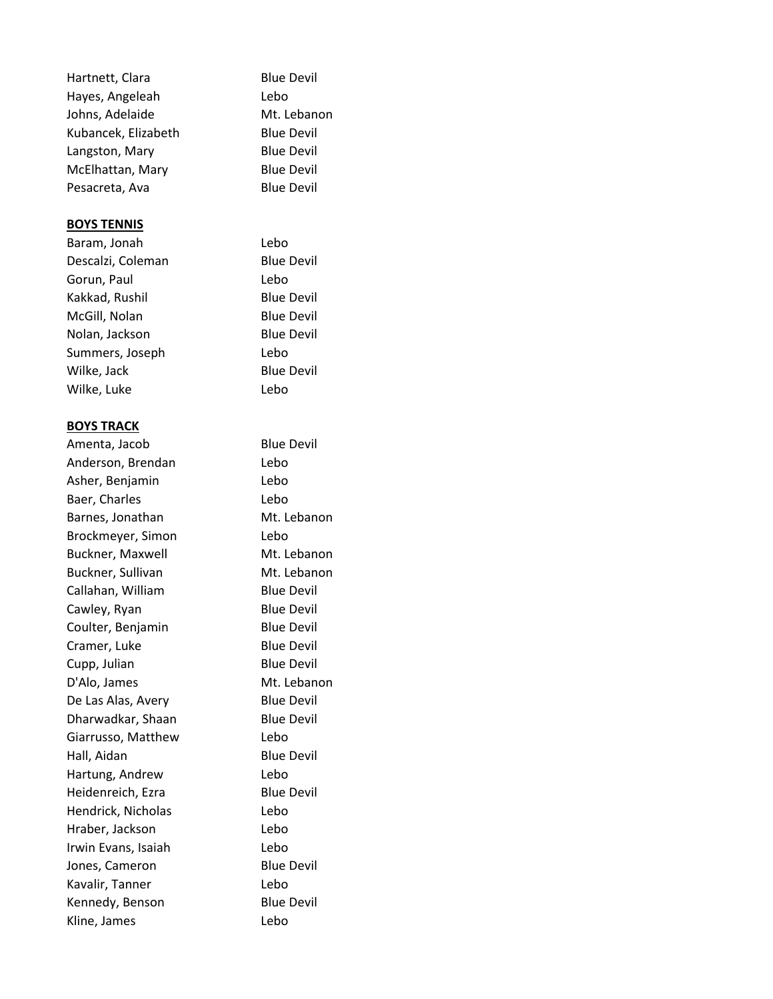| Hartnett, Clara     | <b>Blue Devil</b> |
|---------------------|-------------------|
| Hayes, Angeleah     | Lebo              |
| Johns, Adelaide     | Mt. Lebanon       |
| Kubancek, Elizabeth | <b>Blue Devil</b> |
| Langston, Mary      | <b>Blue Devil</b> |
| McElhattan, Mary    | <b>Blue Devil</b> |
| Pesacreta, Ava      | <b>Blue Devil</b> |
|                     |                   |
| <b>BOYS TENNIS</b>  |                   |
| Baram, Jonah        | Lebo              |
| Descalzi, Coleman   | <b>Blue Devil</b> |
| Gorun, Paul         | Lebo              |
| Kakkad, Rushil      | <b>Blue Devil</b> |
| McGill, Nolan       | <b>Blue Devil</b> |
| Nolan, Jackson      | <b>Blue Devil</b> |
| Summers, Joseph     | Lebo              |
| Wilke, Jack         | <b>Blue Devil</b> |
| Wilke, Luke         | Lebo              |
|                     |                   |
| <b>BOYS TRACK</b>   |                   |
| Amenta, Jacob       | <b>Blue Devil</b> |
| Anderson, Brendan   | Lebo              |
| Asher, Benjamin     | Lebo              |
| Baer, Charles       | Lebo              |
| Barnes, Jonathan    | Mt. Lebanon       |
| Brockmeyer, Simon   | Lebo              |
| Buckner, Maxwell    | Mt. Lebanon       |
| Buckner, Sullivan   | Mt. Lebanon       |
| Callahan, William   | <b>Blue Devil</b> |
| Cawley, Ryan        | <b>Blue Devil</b> |
| Coulter, Benjamin   | <b>Blue Devil</b> |
| Cramer, Luke        | <b>Blue Devil</b> |
| Cupp, Julian        | <b>Blue Devil</b> |
| D'Alo, James        | Mt. Lebanon       |
| De Las Alas, Avery  | <b>Blue Devil</b> |
| Dharwadkar, Shaan   | <b>Blue Devil</b> |
| Giarrusso, Matthew  | Lebo              |
| Hall, Aidan         | <b>Blue Devil</b> |
| Hartung, Andrew     | Lebo              |
| Heidenreich, Ezra   | <b>Blue Devil</b> |
| Hendrick, Nicholas  | Lebo              |
| Hraber, Jackson     | Lebo              |
| Irwin Evans, Isaiah | Lebo              |
| Jones, Cameron      | <b>Blue Devil</b> |
| Kavalir, Tanner     | Lebo              |
| Kennedy, Benson     | <b>Blue Devil</b> |
| Kline, James        | Lebo              |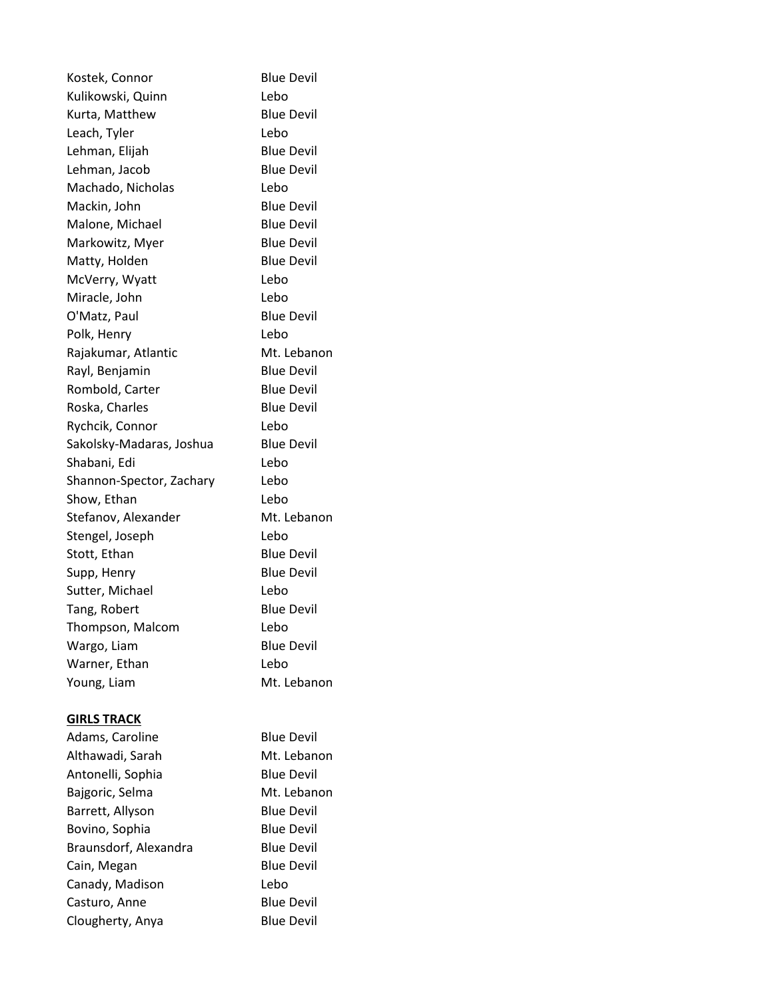| Kostek, Connor           | <b>Blue Devil</b> |
|--------------------------|-------------------|
| Kulikowski, Quinn        | Lebo              |
| Kurta, Matthew           | <b>Blue Devil</b> |
| Leach, Tyler             | Lebo              |
| Lehman, Elijah           | <b>Blue Devil</b> |
| Lehman, Jacob            | <b>Blue Devil</b> |
| Machado, Nicholas        | Lebo              |
| Mackin, John             | <b>Blue Devil</b> |
| Malone, Michael          | <b>Blue Devil</b> |
| Markowitz, Myer          | <b>Blue Devil</b> |
| Matty, Holden            | <b>Blue Devil</b> |
| McVerry, Wyatt           | Lebo              |
| Miracle, John            | Lebo              |
| O'Matz, Paul             | <b>Blue Devil</b> |
| Polk, Henry              | Lebo              |
| Rajakumar, Atlantic      | Mt. Lebanon       |
| Rayl, Benjamin           | <b>Blue Devil</b> |
| Rombold, Carter          | <b>Blue Devil</b> |
| Roska, Charles           | <b>Blue Devil</b> |
| Rychcik, Connor          | Lebo              |
| Sakolsky-Madaras, Joshua | <b>Blue Devil</b> |
| Shabani, Edi             | Lebo              |
| Shannon-Spector, Zachary | Lebo              |
| Show, Ethan              | Lebo              |
| Stefanov, Alexander      | Mt. Lebanon       |
| Stengel, Joseph          | Lebo              |
| Stott, Ethan             | <b>Blue Devil</b> |
| Supp, Henry              | <b>Blue Devil</b> |
| Sutter, Michael          | Lebo              |
| Tang, Robert             | <b>Blue Devil</b> |
| Thompson, Malcom         | Lebo              |
| Wargo, Liam              | <b>Blue Devil</b> |
| Warner, Ethan            | Lebo              |
| Young, Liam              | Mt. Lebanon       |
| <b>GIRLS TRACK</b>       |                   |
| Adams, Caroline          | <b>Blue Devil</b> |
| Althawadi, Sarah         | Mt. Lebanon       |
| Antonelli, Sophia        | <b>Blue Devil</b> |
| Bajgoric, Selma          | Mt. Lebanon       |
| Barrett, Allyson         | <b>Blue Devil</b> |
| Bovino, Sophia           | <b>Blue Devil</b> |
| Braunsdorf, Alexandra    | <b>Blue Devil</b> |
| Cain, Megan              | <b>Blue Devil</b> |
| Canady, Madison          | Lebo              |
| Casturo, Anne            | <b>Blue Devil</b> |

Clougherty, Anya Blue Devil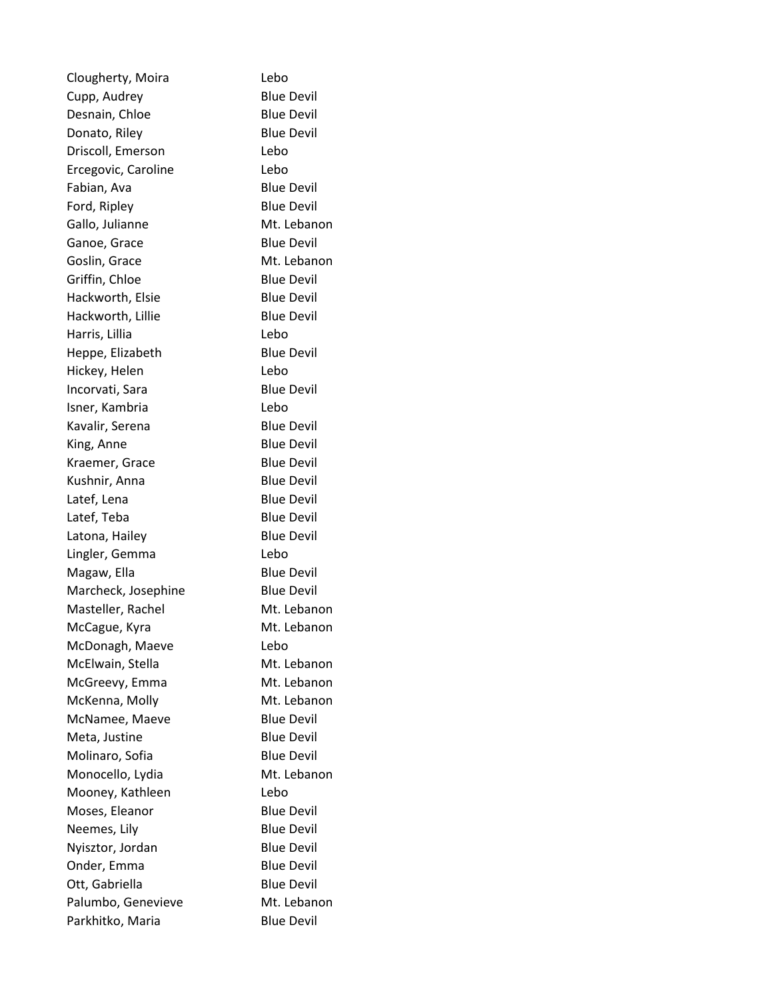| Clougherty, Moira   | Lebo              |
|---------------------|-------------------|
| Cupp, Audrey        | <b>Blue Devil</b> |
| Desnain, Chloe      | <b>Blue Devil</b> |
| Donato, Riley       | <b>Blue Devil</b> |
| Driscoll, Emerson   | Lebo              |
| Ercegovic, Caroline | Lebo              |
| Fabian, Ava         | <b>Blue Devil</b> |
| Ford, Ripley        | <b>Blue Devil</b> |
| Gallo, Julianne     | Mt. Lebanon       |
| Ganoe, Grace        | <b>Blue Devil</b> |
| Goslin, Grace       | Mt. Lebanon       |
| Griffin, Chloe      | <b>Blue Devil</b> |
| Hackworth, Elsie    | <b>Blue Devil</b> |
| Hackworth, Lillie   | <b>Blue Devil</b> |
| Harris, Lillia      | Lebo              |
| Heppe, Elizabeth    | <b>Blue Devil</b> |
| Hickey, Helen       | Lebo              |
| Incorvati, Sara     | <b>Blue Devil</b> |
| Isner, Kambria      | Lebo              |
| Kavalir, Serena     | <b>Blue Devil</b> |
| King, Anne          | <b>Blue Devil</b> |
| Kraemer, Grace      | <b>Blue Devil</b> |
| Kushnir, Anna       | <b>Blue Devil</b> |
| Latef, Lena         | <b>Blue Devil</b> |
| Latef, Teba         | <b>Blue Devil</b> |
| Latona, Hailey      | <b>Blue Devil</b> |
| Lingler, Gemma      | Lebo              |
| Magaw, Ella         | <b>Blue Devil</b> |
| Marcheck, Josephine | <b>Blue Devil</b> |
| Masteller, Rachel   | Mt. Lebanon       |
| McCague, Kyra       | Mt. Lebanon       |
| McDonagh, Maeve     | Lebo              |
| McElwain, Stella    | Mt. Lebanon       |
| McGreevy, Emma      | Mt. Lebanon       |
| McKenna, Molly      | Mt. Lebanon       |
| McNamee, Maeve      | <b>Blue Devil</b> |
| Meta, Justine       | <b>Blue Devil</b> |
| Molinaro, Sofia     | <b>Blue Devil</b> |
| Monocello, Lydia    | Mt. Lebanon       |
| Mooney, Kathleen    | Lebo              |
| Moses, Eleanor      | <b>Blue Devil</b> |
| Neemes, Lily        | <b>Blue Devil</b> |
| Nyisztor, Jordan    | <b>Blue Devil</b> |
| Onder, Emma         | <b>Blue Devil</b> |
| Ott, Gabriella      | <b>Blue Devil</b> |
| Palumbo, Genevieve  | Mt. Lebanon       |
| Parkhitko, Maria    | <b>Blue Devil</b> |